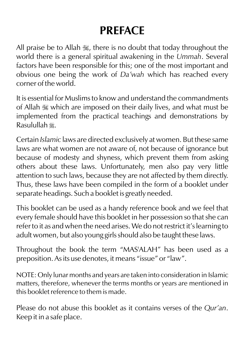# **PREFACE**

All praise be to Allah 5%, there is no doubt that today throughout the world there is a general spiritual awakening in the *Ummah*. Several factors have been responsible for this; one of the most important and obvious one being the work of *Da'wah* which has reached every corner of the world.

It is essential for Muslims to know and understand the commandments of Allah  $\mathcal{H}$  which are imposed on their daily lives, and what must be implemented from the practical teachings and demonstrations by Rasulullah r.

Certain *Islamic* laws are directed exclusively at women. But these same laws are what women are not aware of, not because of ignorance but because of modesty and shyness, which prevent them from asking others about these laws. Unfortunately, men also pay very little attention to such laws, because they are not affected by them directly. Thus, these laws have been compiled in the form of a booklet under separate headings. Such a booklet is greatly needed.

This booklet can be used as a handy reference book and we feel that every female should have this booklet in her possession so that she can refer to it as and when the need arises. We do not restrict it's learning to adult women, but also young girls should also be taught these laws.

Throughout the book the term "MAS'ALAH" has been used as a preposition. As its use denotes, it means "issue" or "law".

NOTE: Only lunar months and years are taken into consideration in Islamic matters, therefore, whenever the terms months or years are mentioned in this booklet reference to them is made.

Please do not abuse this booklet as it contains verses of the *Qur'an*. Keep it in a safe place.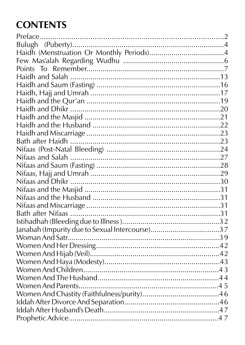# **CONTENTS**

| Janabah (Impurity due to Sexual Intercourse)37 |  |
|------------------------------------------------|--|
|                                                |  |
|                                                |  |
|                                                |  |
|                                                |  |
|                                                |  |
|                                                |  |
|                                                |  |
|                                                |  |
|                                                |  |
|                                                |  |
|                                                |  |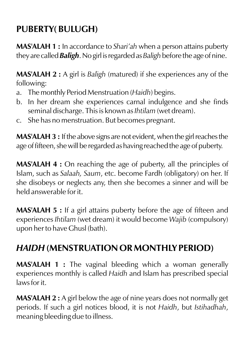# **PUBERTY( BULUGH)**

**MAS'ALAH 1 :** In accordance to *Shari'ah* when a person attains puberty they are called *Baligh*. No girl is regarded as *Baligh* before the age of nine.

**MAS'ALAH 2 :** A girl is *Baligh* (matured) if she experiences any of the following:

- a. Themonthly Period Menstruation (*Haidh*) begins.
- b. In her dream she experiences carnal indulgence and she finds seminal discharge. This is known as *Ihtilam* (wet dream).
- c. She has no menstruation. But becomes pregnant.

**MAS'ALAH 3 :** If the above signs are not evident, when the girl reaches the age of fifteen, she will be regarded as having reached the age of puberty.

**MAS'ALAH 4 :** On reaching the age of puberty, all the principles of Islam, such as *Salaah, Saum*, etc. become Fardh (obligatory) on her. If she disobeys or neglects any, then she becomes a sinner and will be held answerable for it.

**MAS'ALAH 5 :** If a girl attains puberty before the age of fifteen and experiences *Ihtilam* (wet dream) it would become *Wajib* (compulsory) upon her to have Ghusl (bath).

# *HAIDH* **(MENSTRUATION OR MONTHLY PERIOD)**

**MAS'ALAH 1 :** The vaginal bleeding which a woman generally experiences monthly is called *Haidh* and Islam has prescribed special laws for it.

**MAS'ALAH 2 :** A girl below the age of nine years does not normally get periods. If such a girl notices blood, it is not *Haidh*, but *Istihadhah*, meaning bleeding due to illness.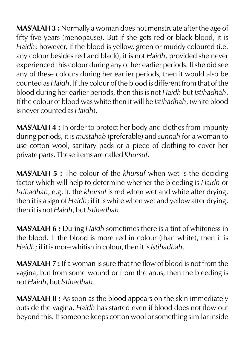**MAS'ALAH 3 :** Normally a woman does not menstruate after the age of fifty five years (menopause). But if she gets red or black blood, it is *Haidh*; however, if the blood is yellow, green or muddy coloured (i.e. any colour besides red and black), it is not *Haidh*, provided she never experienced this colour during any of her earlier periods. If she did see any of these colours during her earlier periods, then it would also be counted as *Haidh*. If the colour of the blood is different from that of the blood during her earlier periods, then this is not *Haidh* but *Istihadhah*. If the colour of blood was white then it will be *Istihadhah*, (white blood is never counted as *Haidh*).

**MAS'ALAH 4 :** In order to protect her body and clothes from impurity during periods, it is *mustahab* (preferable) and *sunnah* for a woman to use cotton wool, sanitary pads or a piece of clothing to cover her private parts. These items are called *Khursuf*.

**MAS'ALAH 5 :** The colour of the *khursuf* when wet is the deciding factor which will help to determine whether the bleeding is *Haidh* or *Istihadhah*, e.g. if. the *khursuf* is red when wet and white after drying, then it is a sign of *Haidh*; if it is white when wet and yellow after drying, then it is not *Haidh*, but *Istihadhah*.

**MAS'ALAH 6 :** During *Haidh* sometimes there is a tint of whiteness in the blood. If the blood is more red in colour (than white), then it is *Haidh*; if it is more whitish in colour, then it is *Istihadhah*.

**MAS'ALAH 7 :** If a woman is sure that the flow of blood is not from the vagina, but from some wound or from the anus, then the bleeding is not *Haidh*, but *Istihadhah*.

**MAS'ALAH 8 :** As soon as the blood appears on the skin immediately outside the vagina, *Haidh* has started even if blood does not flow out beyond this. If someone keeps cotton wool or something similar inside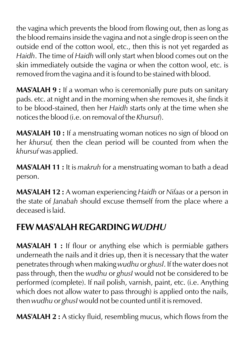the vagina which prevents the blood from flowing out, then as long as the blood remains inside the vagina and not a single drop is seen on the outside end of the cotton wool, etc., then this is not yet regarded as *Haidh*. The time of *Haidh* will only start when blood comes out on the skin immediately outside the vagina or when the cotton wool, etc. is removed from the vagina and it is found to be stained with blood.

**MAS'ALAH 9 :** If a woman who is ceremonially pure puts on sanitary pads. etc. at night and in the morning when she removes it, she finds it to be blood-stained, then her *Haidh* starts only at the time when she notices the blood (i.e. on removal of the *Khursuf*).

**MAS'ALAH 10 :** If a menstruating woman notices no sign of blood on her *khursuf,* then the clean period will be counted from when the *khursuf* was applied.

**MAS'ALAH 11 :** It is *makruh* for a menstruating woman to bath a dead person.

**MAS'ALAH 12 :** A woman experiencing *Haidh* or *Nifaas* or a person in the state of *Janabah* should excuse themself from the place where a deceased is laid.

# **FEW MAS'ALAH REGARDING** *WUDHU*

**MAS'ALAH 1 :** If flour or anything else which is permiable gathers underneath the nails and it dries up, then it is necessary that the water penetrates through when making *wudhu* or *ghusl*. If the water does not pass through, then the *wudhu* or *ghusI* would not be considered to be performed (complete). If nail polish, varnish, paint, etc. (i.e. Anything which does not allow water to pass through) is applied onto the nails, then *wudhu* or *ghusI* would not be counted until it is removed.

**MAS'ALAH 2 :** A sticky fluid, resembling mucus, which flows from the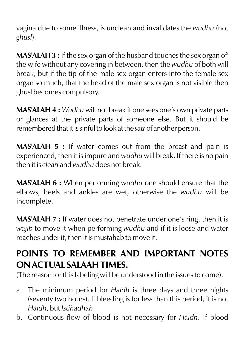vagina due to some illness, is unclean and invalidates the *wudhu* (not *ghusl*).

**MAS'ALAH 3 :** If the sex organ of the husband touches the sex organ of' the wife without any covering in between, then the *wudhu* of both will break, but if the tip of the male sex organ enters into the female sex organ so much, that the head of the male sex organ is not visible then ghusl becomes compulsory.

**MAS'ALAH 4 :** *Wudhu* will not break if one sees one's own private parts or glances at the private parts of someone else. But it should be remembered that it is sinful to look at the *satr* of another person.

**MAS'ALAH 5 :** If water comes out from the breast and pain is experienced, then it is impure and *wudhu* will break. If there is no pain then it is *clean* and *wudhu* does not break.

**MAS'ALAH 6 :** When performing *wudhu* one should ensure that the elbows, heels and ankles are wet, otherwise the *wudhu* will be incomplete.

**MAS'ALAH 7 :** If water does not penetrate under one's ring, then it is *wajib* to move it when performing *wudhu* and if it is loose and water reaches under it, then it is mustahab to move it.

### **POINTS TO REMEMBER AND IMPORTANT NOTES ON ACTUAL SALAAH TIMES.**

(The reason for this labeling will be understood in the issues to come).

- a. The minimum period for *Haidh* is three days and three nights (seventy two hours). If bleeding is for less than this period, it is not *Haidh*, but *Istihadhah*.
- b. Continuous flow of blood is not necessary for *Haidh*. If blood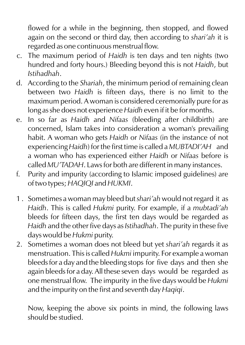flowed for a while in the beginning, then stopped, and flowed again on the second or third day, then according to *shari'ah* it is regarded as one continuous menstrual flow.

- c. The maximum period of *Haidh* is ten days and ten nights (two hundred and forty hours.) Bleeding beyond this is not *Haidh*, but *Istihadhah*.
- d. According to the *Shariah*, the minimum period of remaining clean between two *Haidh* is fifteen days, there is no limit to the maximum period. A woman is considered ceremonially pure for as long as she does not experience *Haidh* even if it be for months.
- e. In so far as *Haidh* and *Nifaas* (bleeding after childbirth) are concerned, Islam takes into consideration a woman's prevailing habit. A woman who gets *Haidh* or *Nifaas* (in the instance of not experiencing *Haidh*) for the first time is called a *MUBTADI'AH* and a woman who has experienced either *Haidh* or *Nifaas* before is called *MU'TADAH*. Laws for both are different in many instances.
- f. Purity and impurity (according to Islamic imposed guidelines) are of two types; *HAQIQI* and *HUKMI*.
- 1 . Sometimes a woman may bleed but *shari'ah* would not regard it as *Haidh*. This is called *Hukmi* purity. For example, if a *mubtadi'ah* bleeds for fifteen days, the first ten days would be regarded as *Haidh* and the other five days as *Istihadhah*. The purity in these five days would be *Hukmi* purity.
- 2. Sometimes a woman does not bleed but yet *shari'ah* regards it as menstruation. This is called *Hukmi* impurity. For example a woman bleeds for a day and the bleeding stops for five days and then she again bleeds for a day. All these seven days would be regarded as one menstrual flow. The impurity in the five days would be *Hukmi* and the impurity on the first and seventh day *Haqiqi*.

Now, keeping the above six points in mind, the following laws should be studied.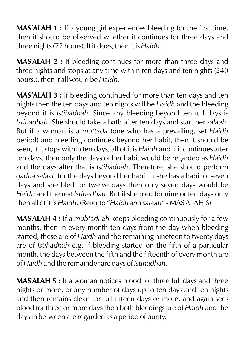**MAS'ALAH 1 :** If a young girl experiences bleeding for the first time, then it should be observed whether it continues for three days and three nights (72 hours). If it does, then it is *Haidh*.

**MAS'ALAH 2 :** If bleeding continues for more than three days and three nights and stops at any time within ten days and ten nights (240 hours.), then it all would be *Haidh.*

**MAS'ALAH 3 :** If bleeding continued for more than ten days and ten nights then the ten days and ten nights will be *Haidh* and the bleeding beyond it is *Istihadhah*. Since any bleeding beyond ten full days is *Istihadhah.* She should take a bath after ten days and start her *salaah.* But if a woman is a *mu'tada* (one who has a prevailing, set *Haidh*  period) and bleeding continues beyond her habit, then it should be seen, if it stops within ten days, all of it is *Haidh* and if it continues after ten days, then only the days of her habit would be regarded as *Haidh* and the days after that is *Istihadhah*. Therefore, she should perform *qadha salaah* for the days beyond her habit. If she has a habit of seven days and she bled for twelve days then only seven days would be *Haidh* and the rest *Istihadhah*. But if she bled for nine or ten days only then all of it is *Haidh*. (Refer to "*Haidh and salaah*" - MAS'ALAH 6)

**MAS'ALAH 4 :** If a *mubtadi'ah* keeps bleeding continuously for a few months, then in every month ten days from the day when bleeding started, these are of *Haidh* and the remaining nineteen to twenty days are of *Istihadhah* e.g. if bleeding started on the fifth of a particular month, the days between the fifth and the fifteenth of every month are of *Haidh* and the remainder are days of *Istihadhah.*

**MAS'ALAH 5 :** If a woman notices blood for three full days and three nights or more, or any number of days up to ten days and ten nights and then remains clean for full fifteen days or more, and again sees blood for three or more days then both bleedings are of *Haidh* and the days in between are regarded as a period of purity.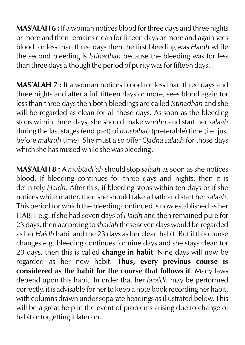**MAS'ALAH 6 :** If a woman notices blood for three days and three nights or more and then remains clean for fifteen days or more and again sees blood for less than three days then the first bleeding was *Haidh* while the second bleeding is *Istihadhah* because the bleeding was for less than three days although the period of purity was for fifteen days.

**MAS'ALAH 7 :** If a woman notices blood for less than three days and three nights and after a full fifteen days or more, sees blood again for less than three days then both bleedings are called *Istihadhah* and she will be regarded as clean for all these days. As soon as the bleeding stops within three days, she should make *wudhu* and start her *salaah* during the last stages (end part) of *mustahab* (preferable) time (i.e. just before *makruh* time). She must also offer *Qadha salaah* for those days which she has missed while she was bleeding.

**MAS'ALAH 8 :** A *mubtadi'ah* should stop *salaah* as soon as she notices blood. If bleeding continues for three days and nights, then it is definitely *Haidh*. After this, if bleeding stops within ten days or if she notices white matter, then she should take a bath and start her *salaah*. This period for which the bleeding continued is now established as her HABIT e.g. if she had seven days of *Haidh* and then remained pure for 23 days, then according to *shariah* these seven days would be regarded as her *Haidh* habit and the 23 days as her clean habit. But if this course changes e.g. bleeding continues for nine days and she stays clean for 20 days, then this is called **change in habit**. Nine days will now be regarded as her new habit. **Thus, every previous course is considered as the habit for the course that follows it**. Many laws depend upon this habit. In order that her *faraidh* may be performed correctly, it is advisable for her to keep a note book recording her habit, with columns drawn under separate headings as illustrated below. This will be a great help in the event of problems arising due to change of habit or forgetting it later on.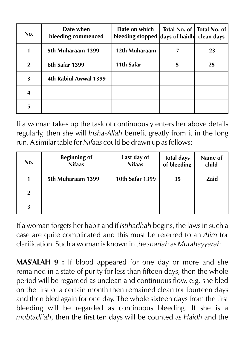| No.            | Date when<br>bleeding commenced | Date on which<br>bleeding stopped days of haidh clean days |   | Total No. of   Total No. of |
|----------------|---------------------------------|------------------------------------------------------------|---|-----------------------------|
|                | 5th Muharaam 1399               | 12th Muharaam                                              |   | 23                          |
| $\overline{2}$ | 6th Safar 1399                  | 11th Safar                                                 | 5 | 25                          |
| 3              | 4th Rabiul Awwal 1399           |                                                            |   |                             |
| 4              |                                 |                                                            |   |                             |
| 5              |                                 |                                                            |   |                             |

If a woman takes up the task of continuously enters her above details regularly, then she will *Insha-Allah* benefit greatly from it in the long run. A similar table for *Nifaas* could be drawn up as follows:

| No.          | <b>Beginning of</b><br><b>Nifaas</b> | Last day of<br><b>Nifaas</b> | <b>Total days</b><br>of bleeding | Name of<br>child |
|--------------|--------------------------------------|------------------------------|----------------------------------|------------------|
|              | 5th Muharaam 1399                    | 10th Safar 1399              | 35                               | Zaid             |
| $\mathbf{2}$ |                                      |                              |                                  |                  |
| 3            |                                      |                              |                                  |                  |

If a woman forgets her habit and if *Istihadhah* begins, the laws in such a case are quite complicated and this must be referred to an *Alim* for clarification. Such a woman is known in the *shariah* as *Mutahayyarah*.

**MAS'ALAH 9 :** If blood appeared for one day or more and she remained in a state of purity for less than fifteen days, then the whole period will be regarded as unclean and continuous flow, e.g. she bled on the first of a certain month then remained clean for fourteen days and then bled again for one day. The whole sixteen days from the first bleeding will be regarded as continuous bleeding. If she is a *mubtadi'ah*, then the first ten days will be counted as *Haidh* and the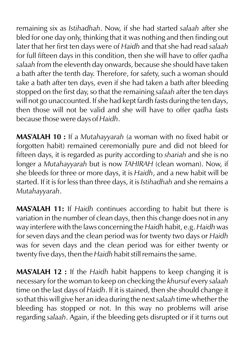remaining six as *Istihadhah*. Now, if she had started *salaah* after she bled for one day only, thinking that it was nothing and then finding out later that her first ten days were of *Haidh* and that she had read *salaah* for full fifteen days in this condition, then she will have to offer *qadha salaah* from the eleventh day onwards, because she should have taken a bath after the tenth day. Therefore, for safety, such a woman should take a bath after ten days, even if she had taken a bath after bleeding stopped on the first day, so that the remaining *salaah* after the ten days will not go unaccounted. If she had kept fardh fasts during the ten days, then those will not be valid and she will have to offer *qadha* fasts because those were days of *Haidh*.

**MAS'ALAH 10 :** If a *Mutahayyarah* (a woman with no fixed habit or forgotten habit) remained ceremonially pure and did not bleed for fifteen days, it is regarded as purity according to *shariah* and she is no longer a *Mutahayyarah* but is now *TAHIRAH* (clean woman). Now, if she bleeds for three or more days, it is *Haidh*, and a new habit will be started. If it is for less than three days, it is *Istihadhah* and she remains a *Mutahayyarah*.

**MAS'ALAH 11:** If *Haidh* continues according to habit but there is variation in the number of clean days, then this change does not in any way interfere with the laws concerning the *Haidh* habit, e.g. *Haidh* was for seven days and the clean period was for twenty two days or *Haidh* was for seven days and the clean period was for either twenty or twenty five days, then the *Haidh* habit still remains the same.

**MAS'ALAH 12 :** If the *Haidh* habit happens to keep changing it is necessary for the woman to keep on checking the *khursuf* every *salaah* time on the last days of *Haidh*. If it is stained, then she should change it so that this will give her an idea during the next *salaah* time whether the bleeding has stopped or not. In this way no problems will arise regarding *salaah*. Again, if the bleeding gets disrupted or if it turns out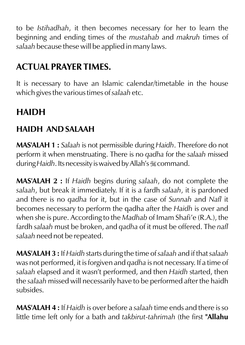to be *Istihadhah*, it then becomes necessary for her to learn the beginning and ending times of the *mustahab* and *makruh* times of *salaah* because these will be applied in many laws.

# **ACTUAL PRAYER TIMES.**

It is necessary to have an Islamic calendar/timetable in the house which gives the various times of *salaah* etc.

# **HAIDH**

#### **HAIDH AND SALAAH**

**MAS'ALAH 1 :** *Salaah* is not permissible during *Haidh*. Therefore do not perform it when menstruating. There is no *qadha* for the *salaah* missed during *Haidh*. Its necessity is waived by Allah's **Examples** command.

**MAS'ALAH 2 :** If *Haidh* begins during *salaah*, do not complete the *salaah*, but break it immediately. If it is a fardh *salaah*, it is pardoned and there is no *qadha* for it, but in the case of *Sunnah* and *Nafl* it becomes necessary to perform the qadha after the *Haidh* is over and when she is pure. According to the *Madhab* of Imam Shafi'e (R.A.), the fardh *salaah* must be broken, and *qadha* of it must be offered. The *nafl salaah* need not be repeated.

**MAS'ALAH 3 :** If *Haidh* starts during the time of *salaah* and if that *salaah* was not performed, it is forgiven and *qadha* is not necessary. If a time of *salaah* elapsed and it wasn't performed, and then *Haidh* started, then the *salaah* missed will necessarily have to be performed after the haidh subsides.

**MAS'ALAH 4 :** If *Haidh* is over before a *salaah* time ends and there is so little time left only for a bath and *takbirut-tahrimah* (the first **"Allahu**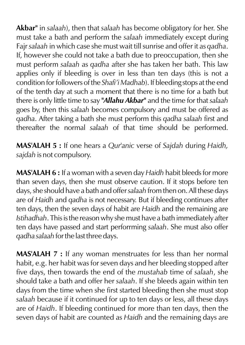**Akbar"** in *salaah*), then that *salaah* has become obligatory for her. She must take a bath and perform the *salaah* immediately except during Fajr *salaah* in which case she must wait till sunrise and offer it as *qadha*. If, however she could not take a bath due to preoccupation, then she must perform *salaah* as *qadha* after she has taken her bath. This law applies only if bleeding is over in less than ten days (this is not a condition for followers of the *Shafi'i Madhab*). If bleeding stops at the end of the tenth day at such a moment that there is no time for a bath but there is only little time to say *"Allahu Akbar"* and the time for that *salaah* goes by, then this *salaah* becomes compulsory and must be offered as *qadha*. After taking a bath she must perform this *qadha salaah* first and thereafter the normal *salaah* of that time should be performed.

**MAS'ALAH 5 :** If one hears a *Qur'anic* verse of *Sajdah* during *Haidh, sajdah* is not compulsory.

**MAS'ALAH 6 :** If a woman with a seven day *Haidh* habit bleeds for more than seven days, then she must observe caution. If it stops before ten days, she should have a bath and offer *salaah* from then on. All these days are of *Haidh* and *qadha* is not necessary. But if bleeding continues after ten days, then the seven days of habit are *Haidh* and the remaining are *Istihadhah*. This is the reason why she must have a bath immediately after ten days have passed and start perforrming *salaah*. She must also offer *qadha salaah* for the last three days.

**MAS'ALAH 7 :** If any woman menstruates for less than her normal habit, e.g. her habit was for seven days and her bleeding stopped after five days, then towards the end of the *mustahab* time of *salaah*, she should take a bath and offer her *salaah*. If she bleeds again within ten days from the time when she first started bleeding then she must stop *salaah* because if it continued for up to ten days or less, all these days are of *Haidh*. If bleeding continued for more than ten days, then the seven days of habit are counted as *Haidh* and the remaining days are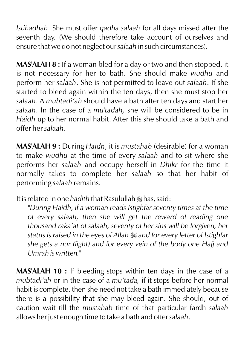*Istihadhah*. She must offer *qadha salaah* for all days missed after the seventh day. (We should therefore take account of ourselves and ensure that we do not neglect our *salaah* in such circumstances).

**MAS'ALAH 8 :** If a woman bled for a day or two and then stopped, it is not necessary for her to bath. She should make *wudhu* and perform her *salaah*. She is not permitted to leave out *salaah*. If she started to bleed again within the ten days, then she must stop her *salaah*. A *mubtadi'ah* should have a bath after ten days and start her *salaah*. In the case of a *mu'tadah,* she will be considered to be in *Haidh* up to her normal habit. After this she should take a bath and offer her *salaah*.

**MAS'ALAH 9 :** During *Haidh*, it is *mustahab* (desirable) for a woman to make *wudhu* at the time of every *salaah* and to sit where she performs her *salaah* and occupy herself in *Dhikr* for the time it normally takes to complete her *salaah* so that her habit of performing *salaah* remains.

It is related in one *hadith* that Rasulullah  $\frac{1}{26}$  has, said:

*"During Haidh, if a woman reads Istighfar seventy times at the time of every salaah, then she will get the reward of reading one thousand raka'at of salaah, seventy of her sins will be forgiven, her status is raised in the eyes of Allah* I *and for every letter of Istighfar she gets a nur (light) and for every vein of the body one Hajj and Umrah is written."*

**MAS'ALAH 10 :** If bleeding stops within ten days in the case of a *mubtadi'ah* or in the case of a *mu'tada,* if it stops before her normal habit is complete, then she need not take a bath immediately because there is a possibility that she may bleed again. She should, out of caution wait till the *mustahab* time of that particular fardh *salaah* allows her just enough time to take a bath and offer *salaah*.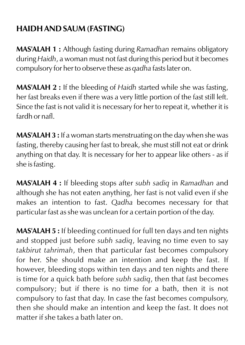### **HAIDH AND SAUM (FASTING)**

**MAS'ALAH 1 :** Although fasting during *Ramadhan* remains obligatory during *Haidh*, a woman must not fast during this period but it becomes compulsory for her to observe these as *qadha* fasts later on.

**MAS'ALAH 2 :** If the bleeding of *Haidh* started while she was fasting, her fast breaks even if there was a very little portion of the fast still left. Since the fast is not valid it is necessary for her to repeat it, whether it is fardh or nafl.

**MAS'ALAH 3 :** If a woman starts menstruating on the day when she was fasting, thereby causing her fast to break, she must still not eat or drink anything on that day. It is necessary for her to appear like others - as if she is fasting.

**MAS'ALAH 4 :** If bleeding stops after *subh sadiq* in *Ramadhan* and although she has not eaten anything, her fast is not valid even if she makes an intention to fast. *Qadha* becomes necessary for that particular fast as she was unclean for a certain portion of the day.

**MAS'ALAH 5 :** If bleeding continued for full ten days and ten nights and stopped just before *subh sadiq*, leaving no time even to say *takbirut tahrimah*, then that particular fast becomes compulsory for her. She should make an intention and keep the fast. If however, bleeding stops within ten days and ten nights and there is time for a quick bath before *subh sadiq*, then that fast becomes compulsory; but if there is no time for a bath, then it is not compulsory to fast that day. In case the fast becomes compulsory, then she should make an intention and keep the fast. It does not matter if she takes a bath later on.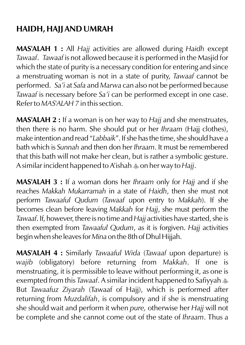### **HAIDH, HAJJ AND UMRAH**

**MAS'ALAH 1 :** All *Hajj* activities are allowed during *Haidh* except *Tawaaf*. *Tawaaf* is not allowed because it is performed in the Masjid for which the state of purity is a necessary condition for entering and since a menstruating woman is not in a state of purity, *Tawaaf* cannot be performed. *Sa'i* at *Safa* and *Marwa* can also not be performed because *Tawaaf* is necessary before *Sa'i* can be performed except in one case. Refer to *MAS'ALAH 7* in this section.

**MAS'ALAH 2 :** If a woman is on her way to *Hajj* and she menstruates, then there is no harm. She should put or her *Ihraam* (Hajj clothes), make intention and read "*Labbaik*". If she has the time, she should have a bath which is *Sunnah* and then don her *Ihraam*. It must be remembered that this bath will not make her clean, but is rather a symbolic gesture. A similar incident happened to A'ishah  $\triangleq$  on her way to *Hajj*.

**MAS'ALAH 3 :** If a woman dons her *Ihraam* only for *Hajj* and if she reaches *Makkah Mukarramah* in a state of *Haidh*, then she must not perform *Tawaaful Qudum* (*Tawaaf* upon entry to *Makkah*). If she becomes clean before leaving *Makkah* for *Hajj*, she must perform the *Tawaaf*. If, however, there is no time and *Hajj* activities have started, she is then exempted from *Tawaaful Qudum*, as it is forgiven. *Hajj* activities begin when she leaves for *Mina* on the 8th of Dhul Hijjah.

**MAS'ALAH 4 :** Similarly *Tawaaful Wida* (*Tawaaf* upon departure) is *wajib* (obligatory) before returning from *Makkah*. If one is menstruating, it is permissible to leave without performing it, as one is exempted from this *Tawaaf*. A similar incident happened to Safiyyah  $\ast$ But *Tawaafuz Ziyarah* (Tawaaf of Hajj), which is performed after returning from *Muzdalifah*, is compulsory and if she is menstruating she should wait and perform it when *pure,* otherwise her *Hajj* will not be complete and she cannot come out of the state of *Ihraam*. Thus a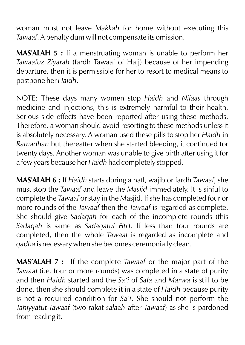woman must not leave *Makkah* for home without executing this *Tawaaf*. A penalty dum will not compensate its omission.

**MAS'ALAH 5 :** If a menstruating woman is unable to perform her *Tawaafuz Ziyarah* (fardh Tawaaf of Hajj) because of her impending departure, then it is permissible for her to resort to medical means to postpone her *Haidh*.

NOTE: These days many women stop *Haidh* and *Nifaas* through medicine and injections, this is extremely harmful to their health. Serious side effects have been reported after using these methods. Therefore, a woman should avoid resorting to these methods unless it is absolutely necessary. A woman used these pills to stop her *Haidh* in *Ramadhan* but thereafter when she started bleeding, it continued for twenty days. Another woman was unable to give birth after using it for a few years because her *Haidh* had completely stopped.

**MAS'ALAH 6 :** If *Haidh* starts during a nafl, wajib or fardh *Tawaaf*, she must stop the *Tawaaf* and leave the *Masjid* immediately. It is sinful to complete the *Tawaaf* or stay in the Masjid. If she has completed four or more rounds of the *Tawaaf* then the *Tawaaf* is regarded as complete. She should give *Sadaqah* for each of the incomplete rounds (this *Sadaqah* is same as *Sadaqatul Fitr*). If less than four rounds are completed, then the whole *Tawaaf* is regarded as incomplete and *qadha* is necessary when she becomes ceremonially clean.

**MAS'ALAH 7 :** If the complete *Tawaaf* or the major part of the *Tawaaf* (i.e. four or more rounds) was completed in a state of purity and then *Haidh* started and the *Sa'i* of *Safa* and *Marwa* is still to be done, then she should complete it in a state of *Haidh* because purity is not a required condition for *Sa'i*. She should not perform the *Tahiyyatut-Tawaaf* (two rakat *salaah* after *Tawaaf*) as she is pardoned from reading it.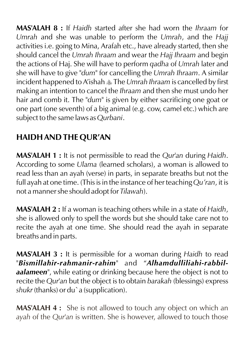**MAS'ALAH 8 :** If *Haidh* started after she had worn the *Ihraam* for *Umrah* and she was unable to perform the *Umrah*, and the *Hajj* activities i.e. going to Mina, Arafah etc., have already started, then she should cancel the *Umrah Ihraam* and wear the *Hajj Ihraam* and begin the actions of Haj. She will have to perform *qadha* of *Umrah* later and she will have to give "*dum*" for cancelling the *Umrah Ihraam*. A similar incident happened to A'ishah  $\ast$  The *Umrah Ihraam* is cancelled by first making an intention to cancel the *Ihraam* and then she must undo her hair and comb it. The "*dum"* is given by either sacrificing one goat or one part (one seventh) of a big animal (e.g. cow, camel etc.) which are subject to the same laws as *Qurbani*.

### **HAIDH AND THE QUR'AN**

**MAS'ALAH 1 :** It is not permissible to read the *Qur'an* during *Haidh*. According to some *Ulama* (learned scholars), a woman is allowed to read less than an ayah (verse) in parts, in separate breaths but not the full ayah at one time. (This is in the instance of her teaching *Qu'ran*, it is not a manner she should adopt for *Tilawah*).

**MAS'ALAH 2 :** If a woman is teaching others while in a state of *Haidh*, she is allowed only to spell the words but she should take care not to recite the ayah at one time. She should read the ayah in separate breaths and in parts.

**MAS'ALAH 3 :** It is permissible for a woman during *Haidh* to read "*Bismillahir-rahmanir-rahim*" and "*Alhamdulliliahi-rabbilaalameen*", while eating or drinking because here the object is not to recite the *Qur'an* but the object is to obtain *barakah* (blessings) express *shukr* (thanks) or du`a (supplication).

**MAS'ALAH 4 :** She is not allowed to touch any object on which an *ayah* of the *Qur'an* is written. She is however, allowed to touch those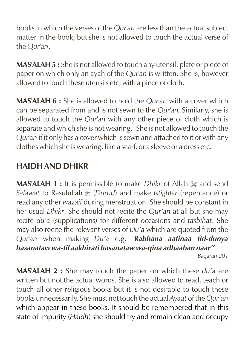books in which the verses of the *Qur'an* are less than the actual subject matter in the book, but she is not allowed to touch the actual verse of the *Qur'an*.

**MAS'ALAH 5 :** She is not allowed to touch any utensil, plate or piece of paper on which only an ayah of the *Qur'an* is written. She is, however allowed to touch these utensils etc, with a piece of cloth.

**MAS'ALAH 6 :** She is allowed to hold the *Qur'an* with a cover which can be separated from and is not sewn to the *Qur'an.* Similarly, she is allowed to touch the *Qur'an* with any other piece of cloth which is separate and which she is not wearing. She is not allowed to touch the *Qur'an* if it only has a cover which is sewn and attached to it or with any clothes which she is wearing, like a scarf, or a sleeve or a dress etc.

#### **HAIDH AND DHIKR**

**MAS'ALAH 1 :** It is permissible to make *Dhikr* of Allah  $\ddot{\mathbf{x}}$  and send *Salawat* to Rasulullah  $\frac{1}{26}$  (*Durud*) and make *Istighfar* (repentance) or read any other *wazaif* during menstruation. She should be constant in her usual *Dhikr*. She should not recite the *Qur'an* at all but she may recite *du'a* (supplications) for different occasions and *tasbihat*. She may also recite the relevant verses of *Du'a* which are quoted from the *Qur'an* when making *Du'a* e.g. "*Rabbana aatinaa fid-dunya hasanataw wa-fil aakhirati hasanataw wa-qina adhaaban naar"* 

*Baqarah 201*

**MAS'ALAH 2 :** She may touch the paper on which these *du'a* are written but not the actual words. She is also allowed to read, teach or touch all other religious books but it is not desirable to touch these books unnecessarily. She must not touch the actual *Ayaat* of the *Qur'an* which appear in these books. It should be remembered that in this state of impurity (*Haidh*) she should try and remain clean and occupy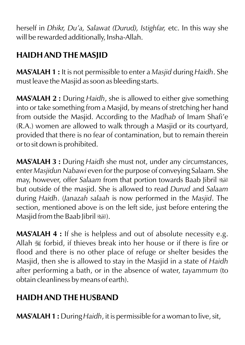herself in *Dhikr, Du'a, Salawat (Durud), Istighfar,* etc. In this way she will be rewarded additionally, Insha-Allah.

### **HAIDH AND THE MASJID**

**MAS'ALAH 1 :** It is not permissible to enter a *Masjid* during *Haidh*. She must leave the Masjid as soon as bleeding starts.

**MAS'ALAH 2 :** During *Haidh*, she is allowed to either give something into or take something from a Masjid, by means of stretching her hand from outside the Masjid. According to the *Madhab* of Imam Shafi'e (R.A.) women are allowed to walk through a Masjid or its courtyard, provided that there is no fear of contamination, but to remain therein or to sit down is prohibited.

**MAS'ALAH 3 :** During *Haidh* she must not, under any circumstances, enter *Masjidun Nabawi* even for the purpose of conveying Salaam. She may, however, offer *Salaam* from that portion towards Baab Jibril u but outside of the masjid. She is allowed to read *Durud* and *Salaam*  during *Haidh*. (*Janazah salaah* is now performed in the *Masjid*. The section, mentioned above is on the left side, just before entering the Masjid from the Baab Jibril (

**MAS'ALAH 4 :** If she is helpless and out of absolute necessity e.g. Allah  $\mathcal{L}$  forbid, if thieves break into her house or if there is fire or flood and there is no other place of refuge or shelter besides the Masjid, then she is allowed to stay in the Masjid in a state of *Haidh* after performing a bath, or in the absence of water, *tayammum* (to obtain cleanliness by means of earth).

### **HAIDH AND THE HUSBAND**

**MAS'ALAH 1 :** During *Haidh*, it is permissible for a woman to live, sit,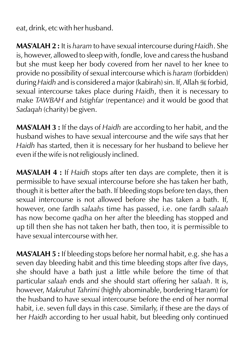eat, drink, etc with her husband.

**MAS'ALAH 2 :** It is *haram* to have sexual intercourse during *Haidh*. She is, however, allowed to sleep with, fondle, love and caress the husband but she must keep her body covered from her navel to her knee to provide no possibility of sexual intercourse which is *haram* (forbidden) during *Haidh* and is considered a major (kabirah) sin. If, Allah K forbid, sexual intercourse takes place during *Haidh*, then it is necessary to make *TAWBAH* and *Istighfar* (repentance) and it would be good that *Sadaqah* (charity) be given.

**MAS'ALAH 3 :** If the days of *Haidh* are according to her habit, and the husband wishes to have sexual intercourse and the wife says that her *Haidh* has started, then it is necessary for her husband to believe her even if the wife is not religiously inclined.

**MAS'ALAH 4 :** If *Haidh* stops after ten days are complete, then it is permissible to have sexual intercourse before she has taken her bath, though it is better after the bath. If bleeding stops before ten days, then sexual intercourse is not allowed before she has taken a bath. If, however, one fardh *salaahs* time has passed, i.e. one fardh *salaah* has now become *qadha* on her after the bleeding has stopped and up till then she has not taken her bath, then too, it is permissible to have sexual intercourse with her.

**MAS'ALAH 5 :** If bleeding stops before her normal habit, e.g. she has a seven day bleeding habit and this time bleeding stops after five days, she should have a bath just a little while before the time of that particular *salaah* ends and she should start offering her *salaah*. It is, however, *Makruhut Tahrimi* (highly abominable, bordering Haram) for the husband to have sexual intercourse before the end of her normal habit, i.e. seven full days in this case. Similarly, if these are the days of her *Haidh* according to her usual habit, but bleeding only continued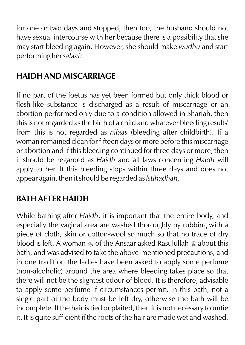for one or two days and stopped, then too, the husband should not have sexual intercourse with her because there is a possibility that she may start bleeding again. However, she should make *wudhu* and start performing her *salaah*.

#### **HAIDH AND MISCARRIAGE**

If no part of the foetus has yet been formed but only thick blood or flesh-like substance is discharged as a result of miscarriage or an abortion performed only due to a condition allowed in Shariah, then this is not regarded as the birth of a child and whatever bleeding results' from this is not regarded as *nifaas* (bleeding after childbirth). If a woman remained clean for fifteen days or more before this miscarriage or abortion and if this bleeding continued for three days or more, then it should be regarded as *Haidh* and all laws concerning *Haidh* will apply to her. If this bleeding stops within three days and does not appear again, then it should be regarded as *Istihadhah*.

### **BATH AFTER HAIDH**

While bathing after *Haidh*, it is important that the entire body, and especially the vaginal area are washed thoroughly by rubbing with a piece of cloth, skin or cotton-wool so much so that no trace of dry blood is left. A woman  $\triangle$  of the Ansaar asked Rasulullah  $\triangle$  about this bath, and was advised to take the above-mentioned precautions, and in one tradition the ladies have been asked to apply some perfume (non-alcoholic) around the area where bleeding takes place so that there will not be the slightest odour of blood. It is therefore, advisable to apply some perfume if circumstances permit. In this bath, not a single part of the body must be left dry, otherwise the bath will be incomplete. If the hair is tied or plaited, then it is not necessary to untie it. It is quite sufficient if the roots of the hair are made wet and washed,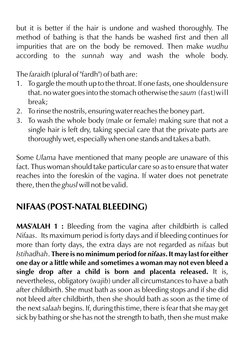but it is better if the hair is undone and washed thoroughly. The method of bathing is that the hands be washed first and then all impurities that are on the body be removed. Then make *wudhu* according to the *sunnah* way and wash the whole body.

The *faraidh* (plural of "fardh") of bath are:

- 1. To gargle the mouth up to the throat. If one fasts, one shouldensure that. no water goes into the stomach otherwise the *saum* (fast)will break;
- 2. To rinse the nostrils, ensuring water reaches the boney part.
- 3. To wash the whole body (male or female) making sure that not a single hair is left dry, taking special care that the private parts are thoroughly wet, especially when one stands and takes a bath.

Some *Ulama* have mentioned that many people are unaware of this fact. Thus woman should take particular care so as to ensure that water reaches into the foreskin of the vagina. If water does not penetrate there, then the *ghusl* will not be valid.

### **NIFAAS (POST-NATAL BLEEDING)**

**MAS'ALAH 1 :** Bleeding from the vagina after childbirth is called *Nifaas*. Its maximum period is forty days and if bleeding continues for more than forty days, the extra days are not regarded as *nifaas* but *Istihadhah*. **There is no minimum period for** *nifaas***. It may last for either one day or a little while and sometimes a woman may not even bleed a single drop after a child is born and placenta released.** It is, nevertheless, obligatory (*wajib*) under all circumstances to have a bath after childbirth. She must bath as soon as bleeding stops and if she did not bleed after childbirth, then she should bath as soon as the time of the next *salaah* begins. If, during this time, there is fear that she may get sick by bathing or she has not the strength to bath, then she must make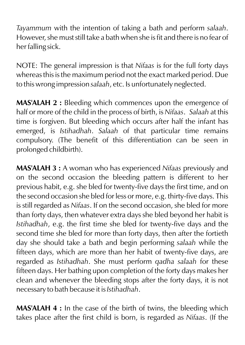*Tayammum* with the intention of taking a bath and perform *salaah*. However, she must still take a bath when she is fit and there is no fear of her falling sick.

NOTE: The general impression is that *Nifaas* is for the full forty days whereas this is the maximum period not the exact marked period. Due to this wrong impression *salaah*, etc. Is unfortunately neglected.

**MAS'ALAH 2 :** Bleeding which commences upon the emergence of half or more of the child in the process of birth, is *Nifaas*. *Salaah* at this time is forgiven. But bleeding which occurs after half the infant has emerged, is *Istihadhah*. *Salaah* of that particular time remains compulsory. (The benefit of this differentiation can be seen in prolonged childbirth).

**MAS'ALAH 3 :** A woman who has experienced *Nifaas* previously and on the second occasion the bleeding pattern is different to her previous habit, e.g. she bled for twenty-five days the first time, and on the second occasion she bled for less or more, e.g. thirty-five days. This is still regarded as *Nifaas*. If on the second occasion, she bled for more than forty days, then whatever extra days she bled beyond her habit is *Istihadhah*, e.g. the first time she bled for twenty-five days and the second time she bled for more than forty days, then after the fortieth day she should take a bath and begin performing *salaah* while the fifteen days, which are more than her habit of twenty-five days, are regarded as *Istihadhah*. She must perform *qadha salaah* for these fifteen days. Her bathing upon completion of the forty days makes her clean and whenever the bleeding stops after the forty days, it is not necessary to bath because it is *Istihadhah*.

**MAS'ALAH 4 :** In the case of the birth of twins, the bleeding which takes place after the first child is born, is regarded as *Nifaas*. (If the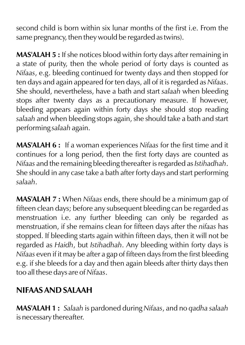second child is born within six lunar months of the first i.e. From the same pregnancy, then they would be regarded as twins).

**MAS'ALAH 5 :** If she notices blood within forty days after remaining in a state of purity, then the whole period of forty days is counted as *Nifaas*, e.g. bleeding continued for twenty days and then stopped for ten days and again appeared for ten days, all of it is regarded as *Nifaas*. She should, nevertheless, have a bath and start *salaah* when bleeding stops after twenty days as a precautionary measure. If however, bleeding appears again within forty days she should stop reading *salaah* and when bleeding stops again, she should take a bath and start performing *salaah* again.

**MAS'ALAH 6 :** If a woman experiences *Nifaas* for the first time and it continues for a long period, then the first forty days are counted as *Nifaas* and the remaining bleeding thereafter is regarded as *Istihadhah*. She should in any case take a bath after forty days and start performing *salaah*.

**MAS'ALAH 7 :** When *Nifaas* ends, there should be a minimum gap of fifteen clean days; before any subsequent bleeding can be regarded as menstruation i.e. any further bleeding can only be regarded as menstruation, if she remains clean for fifteen days after the *nifaas* has stopped. If bleeding starts again within fifteen days, then it will not be regarded as *Haidh*, but *Istihadhah*. Any bleeding within forty days is *Nifaas* even if it may be after a gap of fifteen days from the first bleeding e.g. if she bleeds for a day and then again bleeds after thirty days then too all these days are of *Nifaas*.

### **NIFAAS AND SALAAH**

**MAS'ALAH 1 :** *Salaah* is pardoned during *Nifaas*, and no *qadha salaah* is necessary thereafter.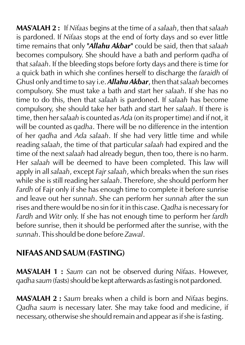**MAS'ALAH 2 :** If *Nifaas* begins at the time of a *salaah*, then that *salaah* is pardoned. If *Nifaas* stops at the end of forty days and so ever little time remains that only *"Allahu Akbar"* could be said, then that *salaah* becomes compulsory. She should have a bath and perform *qadha* of that *salaah*. If the bleeding stops before forty days and there is time for a quick bath in which she confines herself to discharge the *faraidh* of GhusI only and time to say i.e. *Allahu Akbar*, then that *salaah* becomes compulsory. She must take a bath and start her *salaah*. If she has no time to do this, then that *salaah* is pardoned. If *salaah* has become compulsory, she should take her bath and start her *salaah*. If there is time, then her *salaah* is counted as *Ada* (on its proper time) and if not, it will be counted as *qadha*. There will be no difference in the intention of her *qadha* and *Ada salaah*. If she had very little time and while reading *salaah*, the time of that particular *salaah* had expired and the time of the next *salaah* had already begun, then too, there is no harm. Her *salaah* will be deemed to have been completed. This law will apply in all *salaah*, except *Fajr salaah*, which breaks when the sun rises while she is still reading her *salaah*. Therefore, she should perform her *Fardh* of Fajr only if she has enough time to complete it before sunrise and leave out her *sunnah*. She can perform her *sunnah* after the sun rises and there would be no sin for it in this case. *Qadha* is necessary for *Fardh* and *Witr* only. If she has not enough time to perform her *fardh*  before sunrise, then it should be performed after the sunrise, with the *sunnah*. This should be done before *Zawal*.

#### **NIFAAS AND SAUM (FASTING)**

**MAS'ALAH 1 :** *Saum* can not be observed during *Nifaas*. However, *qadha saum* (fasts) should be kept afterwards as fasting is not pardoned.

**MAS'ALAH 2 :** *Saum* breaks when a child is born and *Nifaas* begins. *Qadha saum* is necessary later. She may take food and medicine, if necessary, otherwise she should remain and appear as if she is fasting.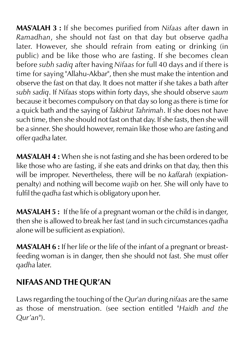**MAS'ALAH 3 :** If she becomes purified from *Nifaas* after dawn in *Ramadhan*, she should not fast on that day but observe *qadha* later. However, she should refrain from eating or drinking (in public) and be like those who are fasting. If she becomes clean before *subh sadiq* after having *Nifaas* for full 40 days and if there is time for saying "Allahu-Akbar", then she must make the intention and observe the fast on that day. It does not matter if she takes a bath after *subh sadiq*. If *Nifaas* stops within forty days, she should observe *saum* because it becomes compulsory on that day so long as there is time for a quick bath and the saying of *Takbirut Tahrimah*. If she does not have such time, then she should not fast on that day. If she fasts, then she will be a sinner. She should however, remain like those who are fasting and offer *qadha* later.

**MAS'ALAH 4 :** When she is not fasting and she has been ordered to be like those who are fasting, if she eats and drinks on that day, then this will be improper. Nevertheless, there will be no *kaffarah* (expiationpenalty) and nothing will become *wajib* on her. She will only have to fulfil the *qadha* fast which is obligatory upon her.

**MAS'ALAH 5 :** If the life of a pregnant woman or the child is in danger, then she is allowed to break her fast (and in such circumstances *qadha* alone will be sufficient as expiation).

**MAS'ALAH 6 :** If her life or the life of the infant of a pregnant or breastfeeding woman is in danger, then she should not fast. She must offer *qadha* later.

### **NIFAAS AND THE QUR'AN**

Laws regarding the touching of the *Qur'an* during *nifaas* are the same as those of menstruation. (see section entitled "*Haidh and the Qur'an*").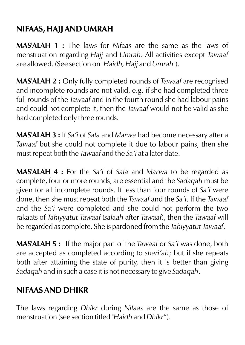### **NIFAAS, HAJJ AND UMRAH**

**MAS'ALAH 1 :** The laws for *Nifaas* are the same as the laws of menstruation regarding *Hajj* and *Umrah*. All activities except *Tawaaf* are allowed. (See section on "*Haidh, Hajj* and *Umrah*").

**MAS'ALAH 2 :** Only fully completed rounds of *Tawaaf* are recognised and incomplete rounds are not valid, e.g. if she had completed three full rounds of the *Tawaaf* and in the fourth round she had labour pains and could not complete it, then the *Tawaaf* would not be valid as she had completed only three rounds.

**MAS'ALAH 3 :** If *Sa'i* of *Safa* and *Marwa* had become necessary after a *Tawaaf* but she could not complete it due to labour pains, then she must repeat both the *Tawaaf* and the *Sa'i* at a later date.

**MAS'ALAH 4 :** For the *Sa'i* of *Safa* and *Marwa* to be regarded as complete, four or more rounds, are essential and the *Sadaqah* must be given for all incomplete rounds. If less than four rounds of *Sa'i* were done, then she must repeat both the *Tawaaf* and the *Sa'i*. If the *Tawaaf* and the *Sa'i* were completed and she could not perform the two rakaats of *Tahiyyatut Tawaaf* (*salaah* after *Tawaaf*), then the *Tawaaf* will be regarded as complete. She is pardoned from the *Tahiyyatut Tawaaf*.

**MAS'ALAH 5 :** If the major part of the *Tawaaf* or *Sa'i* was done, both are accepted as completed according to *shari'ah*; but if she repeats both after attaining the state of purity, then it is better than giving *Sadaqah* and in such a case it is not necessary to give *Sadaqah*.

### **NIFAAS AND DHIKR**

The laws regarding *Dhikr* during *Nifaas* are the same as those of menstruation (see section titled "*Haidh* and *Dhikr*").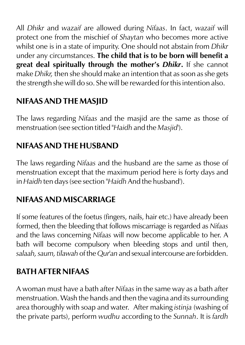All *Dhikr* and *wazaif* are allowed during *Nifaas*. In fact, *wazaif* will protect one from the mischief of *Shaytan* who becomes more active whilst one is in a state of impurity. One should not abstain from *Dhikr* under any circumstances. **The child that is to be born will benefit a great deal spiritually through the mother's** *Dhikr***.** If she cannot make *Dhikr,* then she should make an intention that as soon as she gets the strength she will do so. She will be rewarded for this intention also.

### **NIFAAS AND THE MASJID**

The laws regarding *Nifaas* and the masjid are the same as those of menstruation (see section titled "*Haidh* and the *Masjid*').

### **NIFAAS AND THE HUSBAND**

The laws regarding *Nifaas* and the husband are the same as those of menstruation except that the maximum period here is forty days and in *Haidh* ten days (see section "*Haidh* And the husband').

### **NIFAAS AND MISCARRIAGE**

If some features of the foetus (fingers, nails, hair etc.) have already been formed, then the bleeding that follows miscarriage is regarded as *Nifaas* and the laws concerning *Nifaas* will now become applicable to her. A bath will become compulsory when bleeding stops and until then, *salaah, saum, tilawah* of the *Qur'an* and sexual intercourse are forbidden.

### **BATH AFTER NIFAAS**

A woman must have a bath after *Nifaas* in the same way as a bath after menstruation. Wash the hands and then the vagina and its surrounding area thoroughly with soap and water. After making *istinja* (washing of the private parts), perform *wudhu* according to the *Sunnah*. It is *fardh*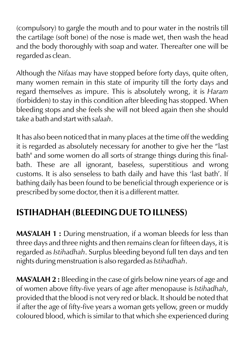(compulsory) to gargle the mouth and to pour water in the nostrils till the cartilage (soft bone) of the nose is made wet, then wash the head and the body thoroughly with soap and water. Thereafter one will be regarded as clean.

Although the *Nifaas* may have stopped before forty days, quite often, many women remain in this state of impurity till the forty days and regard themselves as impure. This is absolutely wrong, it is *Haram* (forbidden) to stay in this condition after bleeding has stopped. When bleeding stops and she feels she will not bleed again then she should take a bath and start with *salaah*.

It has also been noticed that in many places at the time off the wedding it is regarded as absolutely necessary for another to give her the "last bath" and some women do all sorts of strange things during this finalbath. These are all ignorant, baseless, superstitious and wrong customs. It is also senseless to bath daily and have this 'last bath'. If bathing daily has been found to be beneficial through experience or is prescribed by some doctor, then it is a different matter.

### **ISTIHADHAH (BLEEDING DUE TO ILLNESS)**

**MAS'ALAH 1 :** During menstruation, if a woman bleeds for less than three days and three nights and then remains clean for fifteen days, it is regarded as *Istihadhah*. Surplus bleeding beyond full ten days and ten nights during menstruation is also regarded as *Istihadhah*.

**MAS'ALAH 2 :** Bleeding in the case of girls below nine years of age and of women above fifty-five years of age after menopause is *Istihadhah*, provided that the blood is not very red or black. It should be noted that if after the age of fifty-five years a woman gets yellow, green or muddy coloured blood, which is similar to that which she experienced during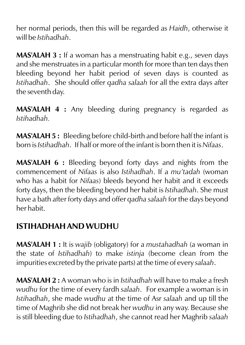her normal periods, then this will be regarded as *Haidh*, otherwise it will be *Istihadhah*.

**MAS'ALAH 3 :** If a woman has a menstruating habit e.g., seven days and she menstruates in a particular month for more than ten days then bleeding beyond her habit period of seven days is counted as *Istihadhah*. She should offer *qadha salaah* for all the extra days after the seventh day.

**MAS'ALAH 4 :** Any bleeding during pregnancy is regarded as *Istihadhah.*

**MAS'ALAH 5 :** Bleeding before child-birth and before half the infant is born is *Istihadhah*. If half or more of the infant is born then it is *Nifaas*.

**MAS'ALAH 6 :** Bleeding beyond forty days and nights from the commencement of *Nifaas* is also *Istihadhah*. If a *mu'tadah* (woman who has a habit for *Nifaas*) bleeds beyond her habit and it exceeds forty days, then the bleeding beyond her habit is *Istihadhah*. She must have a bath after forty days and offer *qadha salaah* for the days beyond her habit.

#### **ISTIHADHAH AND WUDHU**

**MAS'ALAH 1 :** It is *wajib* (obligatory) for a *mustahadhah* (a woman in the state of *Istihadhah*) to make *istinja* (become clean from the impurities excreted by the private parts) at the time of every *salaah*.

**MAS'ALAH 2 :** A woman who is in *Istihadhah* will have to make a fresh *wudhu* for the time of every fardh *salaah*. For example a woman is in *Istihadhah*, she made *wudhu* at the time of Asr *salaah* and up till the time of Maghrib she did not break her *wudhu* in any way. Because she is still bleeding due to *Istihadhah*, she cannot read her Maghrib *salaah*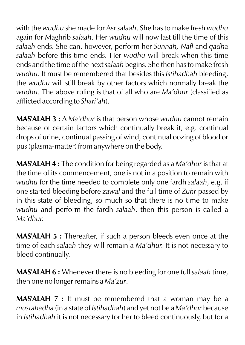with the *wudhu* she made for Asr *salaah*. She has to make fresh *wudhu* again for Maghrib *salaah*. Her *wudhu* will now last till the time of this *salaah* ends. She can, however, perform her *Sunnah, Nafl* and *qadha salaah* before this time ends. Her *wudhu* will break when this time ends and the time of the next *salaah* begins. She then has to make fresh *wudhu*. It must be remembered that besides this *Istihadhah* bleeding, the *wudhu* will still break by other factors which normally break the *wudhu*. The above ruling is that of all who are *Ma'dhur* (classified as afflicted according to *Shari'ah*).

**MAS'ALAH 3 :** A *Ma'dhur* is that person whose *wudhu* cannot remain because of certain factors which continually break it, e.g. continual drops of urine, continual passing of wind, continual oozing of blood or pus (plasma-matter) from anywhere on the body.

**MAS'ALAH 4 :** The condition for being regarded as a *Ma'dhur* is that at the time of its commencement, one is not in a position to remain with *wudhu* for the time needed to complete only one fardh *salaah*, e.g. if one started bleeding before *zawal* and the full time of *Zuhr* passed by in this state of bleeding, so much so that there is no time to make *wudhu* and perform the fardh *salaah*, then this person is called a *Ma'dhur.*

**MAS'ALAH 5 :** Thereafter, if such a person bleeds even once at the time of each *salaah* they will remain a *Ma'dhur.* It is not necessary to bleed continually.

**MAS'ALAH 6 :** Whenever there is no bleeding for one full *salaah* time, then one no longer remains a *Ma'zur*.

**MAS'ALAH 7 :** It must be remembered that a woman may be a *mustahadha* (in a state of *Istihadhah*) and yet not be a *Ma'dhur* because in *Istihadhah* it is not necessary for her to bleed continuously, but for a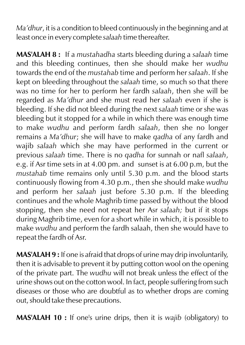*Ma'dhur*, it is a condition to bleed continuously in the beginning and at least once in every complete *salaah* time thereafter.

**MAS'ALAH 8 :** If a *mustahadha* starts bleeding during a *salaah* time and this bleeding continues, then she should make her *wudhu* towards the end of the *mustahab* time and perform her *salaah*. If she kept on bleeding throughout the *salaah* time, so much so that there was no time for her to perform her fardh *salaah*, then she will be regarded as *Ma'dhur* and she must read her *salaah* even if she is bleeding. If she did not bleed during the next *salaah* time or she was bleeding but it stopped for a while in which there was enough time to make *wudhu* and perform fardh *salaah*, then she no longer remains a *Ma'dhur*; she will have to make *qadha* of any fardh and wajib *salaah* which she may have performed in the current or previous *salaah* time. There is no *qadha* for sunnah or nafl *salaah*, e.g. if Asr time sets in at 4.00 pm. and sunset is at 6.00 p.m, but the *mustahab* time remains only until 5.30 p.m. and the blood starts continuously flowing from 4.30 p.m., then she should make *wudhu* and perform her *salaah* just before 5.30 p.m. If the bleeding continues and the whole Maghrib time passed by without the blood stopping, then she need not repeat her Asr *salaah;* but if it stops during Maghrib time, even for a short while in which, it is possible to make *wudhu* and perform the fardh salaah, then she would have to repeat the fardh of Asr.

**MAS'ALAH 9 :** If one is afraid that drops of urine may drip involuntarily, then it is advisable to prevent it by putting cotton wool on the opening of the private part. The *wudhu* will not break unless the effect of the urine shows out on the cotton wool. In fact, people suffering from such diseases or those who are doubtful as to whether drops are coming out, should take these precautions.

**MAS'ALAH 10 :** If one's urine drips, then it is *wajib* (obligatory) to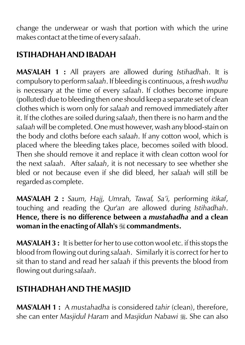change the underwear or wash that portion with which the urine makes contact at the time of every *salaah*.

### **ISTIHADHAH AND IBADAH**

**MAS'ALAH 1 :** All prayers are allowed during *Istihadhah*. It is compulsory to perform *salaah*. If bleeding is continuous, a fresh *wudhu* is necessary at the time of every *salaah*. If clothes become impure (polluted) due to bleeding then one should keep a separate set of clean clothes which is worn only for *salaah* and removed immediately after it. If the clothes are soiled during *salaah*, then there is no harm and the *salaah* will be completed. One must however, wash any blood-stain on the body and cloths before each *salaah*. If any cotton wool, which is placed where the bleeding takes place, becomes soiled with blood. Then she should remove it and replace it with clean cotton wool for the next *salaah*. After *salaah*, it is not necessary to see whether she bled or not because even if she did bleed, her *salaah* will still be regarded as complete.

**MAS'ALAH 2 :** *Saum, Hajj, Umrah, Tawaf, Sa'i,* performing *itikaf*, touching and reading the *Qur'an* are allowed during *Istihadhah*. **Hence, there is no difference between a** *mustahadha* **and a clean woman in the enacting of Allah's** I **commandments.**

**MAS'ALAH 3 :** It is better for her to use cotton wool etc. if this stops the blood from flowing out during *salaah*. Similarly it is correct for her to sit than to stand and read her *salaah* if this prevents the blood from flowing out during *salaah*.

### **ISTIHADHAH AND THE MASJID**

**MAS'ALAH 1 :** A *mustahadha* is considered *tahir* (clean), therefore, she can enter *Masjidul Haram* and *Masjidun Nabawi* . She can also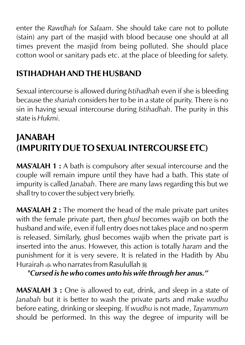enter the *Rawdhah* for *Salaam*. She should take care not to pollute (stain) any part of the masjid with blood because one should at all times prevent the masjid from being polluted. She should place cotton wool or sanitary pads etc. at the place of bleeding for safety.

### **ISTIHADHAH AND THE HUSBAND**

Sexual intercourse is allowed during *Istihadhah* even if she is bleeding because the *shariah* considers her to be in a state of purity. There is no sin in having sexual intercourse during *Istihadhah*. The purity in this state is *Hukmi*.

# **JANABAH (IMPURITY DUE TO SEXUAL INTERCOURSE ETC)**

**MAS'ALAH 1 :** A bath is compulsory after sexual intercourse and the couple will remain impure until they have had a bath. This state of impurity is called *Janabah*. There are many laws regarding this but we shall try to cover the subject very briefly.

**MAS'ALAH 2 :** The moment the head of the male private part unites with the female private part, then *ghusl* becomes wajib on both the husband and wife, even if full entry does not takes place and no sperm is released. Similarly, ghusl becomes wajib when the private part is inserted into the anus. However, this action is totally *haram* and the punishment for it is very severe. It is related in the Hadith by Abu Hurairah  $\triangle$  who narrates from Rasulullah  $\triangle$ 

*"Cursed is he who comes unto his wife through her anus."*

**MAS'ALAH 3 :** One is allowed to eat, drink, and sleep in a state of *Janabah* but it is better to wash the private parts and make *wudhu* before eating, drinking or sleeping. If *wudhu* is not made, *Tayammum* should be performed. In this way the degree of impurity will be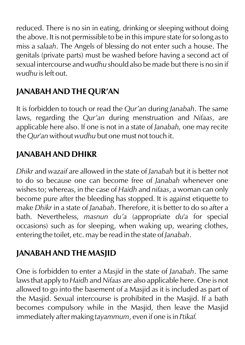reduced. There is no sin in eating, drinking or sleeping without doing the above. It is not permissible to be in this impure state for so long as to miss a *salaah*. The Angels of blessing do not enter such a house. The genitals (private parts) must be washed before having a second act of sexual intercourse and *wudhu* should also be made but there is no sin if *wudhu* is left out.

### **JANABAH AND THE QUR'AN**

It is forbidden to touch or read the *Qur'an* during *Janabah*. The same laws, regarding the *Qur'an* during menstruation and *Nifaas*, are applicable here also. If one is not in a state of *Janabah,* one may recite the *Qur'an* without *wudhu* but one must not touch it.

### **JANABAH AND DHIKR**

*Dhikr* and *wazaif* are allowed in the state of *Janabah* but it is better not to do so because one can become free of *Janabah* whenever one wishes to; whereas, in the case of *Haidh* and *nifaas*, a woman can only become pure after the bleeding has stopped. It is against etiquette to make *Dhikr* in a state of *Janabah*. Therefore, it is better to do so after a bath. Nevertheless, *masnun du'a* (appropriate *du'a* for special occasions) such as for sleeping, when waking up, wearing clothes, entering the toilet, etc. may be read in the state of *Janabah*.

### **JANABAH AND THE MASJID**

One is forbidden to enter a *Masjid* in the state of *Janabah*. The same laws that apply to *Haidh* and *Nifaas* are also applicable here. One is not allowed to go into the basement of a Masjid as it is included as part of the Masjid. Sexual intercourse is prohibited in the Masjid. If a bath becomes compulsory while in the Masjid, then leave the Masjid immediately after making *tayammum*, even if one is in *I'tikaf.*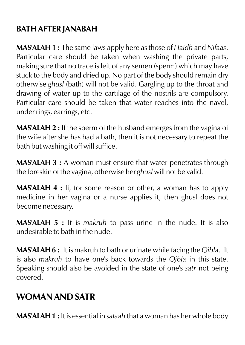#### **BATH AFTER JANABAH**

**MAS'ALAH 1 :** The same laws apply here as those of *Haidh* and *Nifaas*. Particular care should be taken when washing the private parts, making sure that no trace is left of any semen (sperm) which may have stuck to the body and dried up. No part of the body should remain dry otherwise *ghusl* (bath) will not be valid. Gargling up to the throat and drawing of water up to the cartilage of the nostrils are compulsory. Particular care should be taken that water reaches into the navel, under rings, earrings, etc.

**MAS'ALAH 2 :** If the sperm of the husband emerges from the vagina of the wife after she has had a bath, then it is not necessary to repeat the bath but washing it off will suffice.

**MAS'ALAH 3 :** A woman must ensure that water penetrates through the foreskin of the vagina, otherwise her *ghusl* will not be valid.

**MAS'ALAH 4 :** If, for some reason or other, a woman has to apply medicine in her vagina or a nurse applies it, then ghusl does not become necessary.

**MAS'ALAH 5 :** It is *makruh* to pass urine in the nude. It is also undesirable to bath in the nude.

**MAS'ALAH 6 :** It is makruh to bath or urinate while facing the *Qibla*. It is also *makruh* to have one's back towards the *Qibla* in this state. Speaking should also be avoided in the state of one's *satr* not being covered.

### **WOMAN AND SATR**

**MAS'ALAH 1 :** It is essential in *salaah* that a woman has her whole body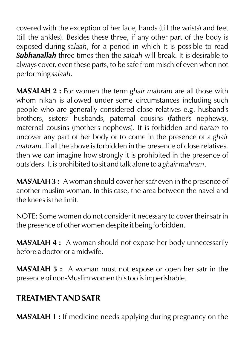covered with the exception of her face, hands (till the wrists) and feet (till the ankles). Besides these three, if any other part of the body is exposed during *salaah*, for a period in which It is possible to read *Subhanallah* three times then the *salaah* will break. It is desirable to always cover, even these parts, to be safe from mischief even when not performing *salaah*.

**MAS'ALAH 2 :** For women the term *ghair mahram* are all those with whom nikah is allowed under some circumstances including such people who are generally considered close relatives e.g. husband's brothers, sisters' husbands, paternal cousins (father's nephews), maternal cousins (mother's nephews). It is forbidden and *haram* to uncover any part of her body or to come in the presence of a *ghair mahram*. If all the above is forbidden in the presence of close relatives. then we can imagine how strongly it is prohibited in the presence of outsiders. It is prohibited to sit and talk alone to a *ghair mahram*.

**MAS'ALAH 3 :** A woman should cover her *satr* even in the presence of another muslim woman. In this case, the area between the navel and the knees is the limit.

NOTE: Some women do not consider it necessary to cover their satr in the presence of other women despite it being forbidden.

**MAS'ALAH 4 :** A woman should not expose her body unnecessarily before a doctor or a midwife.

**MAS'ALAH 5 :** A woman must not expose or open her satr in the presence of non-Muslim women this too is imperishable.

### **TREATMENT AND SATR**

**MAS'ALAH 1 :** If medicine needs applying during pregnancy on the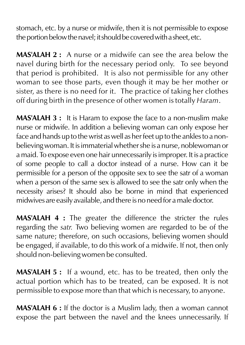stomach, etc. by a nurse or midwife, then it is not permissible to expose the portion below the navel; it should be covered with a sheet, etc.

**MAS'ALAH 2 :** A nurse or a midwife can see the area below the navel during birth for the necessary period only. To see beyond that period is prohibited. It is also not permissible for any other woman to see those parts, even though it may be her mother or sister, as there is no need for it. The practice of taking her clothes off during birth in the presence of other women is totally *Haram*.

**MAS'ALAH 3 :** It is Haram to expose the face to a non-muslim make nurse or midwife. In addition a believing woman can only expose her face and hands up to the wrist as well as her feet up to the ankles to a nonbelieving woman. It is immaterial whether she is a nurse, noblewoman or a maid. To expose even one hair unnecessarily is improper. It is a practice of some people to call a doctor instead of a nurse. How can it be permissible for a person of the opposite sex to see the satr of a woman when a person of the same sex is allowed to see the satr only when the necessity arises? It should also be borne in mind that experienced midwives are easily available, and there is no need for a male doctor.

**MAS'ALAH 4 :** The greater the difference the stricter the rules regarding the *satr.* Two believing women are regarded to be of the same nature; therefore, on such occasions, believing women should be engaged, if available, to do this work of a midwife. If not, then only should non-believing women be consulted.

**MAS'ALAH 5 :** If a wound, etc. has to be treated, then only the actual portion which has to be treated, can be exposed. It is not permissible to expose more than that which is necessary, to anyone.

**MAS'ALAH 6 :** If the doctor is a Muslim lady, then a woman cannot expose the part between the navel and the knees unnecessarily. If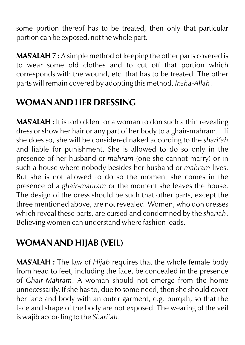some portion thereof has to be treated, then only that particular portion can be exposed, not the whole part.

**MAS'ALAH 7 :** A simple method of keeping the other parts covered is to wear some old clothes and to cut off that portion which corresponds with the wound, etc. that has to be treated. The other parts will remain covered by adopting this method, *Insha-Allah*.

### **WOMAN AND HER DRESSING**

**MAS'ALAH :** It is forbidden for a woman to don such a thin revealing dress or show her hair or any part of her body to a ghair-mahram. If she does so, she will be considered naked according to the *shari'ah* and liable for punishment. She is allowed to do so only in the presence of her husband or *mahram* (one she cannot marry) or in such a house where nobody besides her husband or *mahram* lives. But she is not allowed to do so the moment she comes in the presence of a *ghair-mahram* or the moment she leaves the house. The design of the dress should be such that other parts, except the three mentioned above, are not revealed. Women, who don dresses which reveal these parts, are cursed and condemned by the *shariah*. Believing women can understand where fashion leads.

# **WOMAN AND HIJAB (VEIL)**

**MAS'ALAH :** The law of *Hijab* requires that the whole female body from head to feet, including the face, be concealed in the presence of *Ghair-Mahram*. A woman should not emerge from the home unnecessarily. If she has to, due to some need, then she should cover her face and body with an outer garment, e.g. burqah, so that the face and shape of the body are not exposed. The wearing of the veil is wajib according to the *Shari'ah*.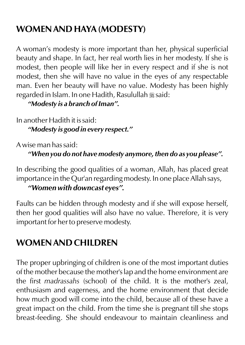# **WOMEN AND HAYA (MODESTY)**

A woman's modesty is more important than her, physical superficial beauty and shape. In fact, her real worth lies in her modesty. If she is modest, then people will like her in every respect and if she is not modest, then she will have no value in the eyes of any respectable man. Even her beauty will have no value. Modesty has been highly regarded in Islam. In one Hadith, Rasulullah  $\frac{m}{2}$ said:

*"Modesty is a branch of Iman".*

In another Hadith it is said: *"Modesty is good in every respect."*

A wise man has said:

*"When you do not have modesty anymore, then do as you please".*

In describing the good qualities of a woman, Allah, has placed great importance in the Qur'an regarding modesty. In one place Allah says, *"Women with downcast eyes".*

Faults can be hidden through modesty and if she will expose herself, then her good qualities will also have no value. Therefore, it is very important for her to preserve modesty.

# **WOMEN AND CHILDREN**

The proper upbringing of children is one of the most important duties of the mother because the mother's lap and the home environment are the first *madrassahs* (school) of the child. It is the mother's zeal, enthusiasm and eagerness, and the home environment that decide how much good will come into the child, because all of these have a great impact on the child. From the time she is pregnant till she stops breast-feeding. She should endeavour to maintain cleanliness and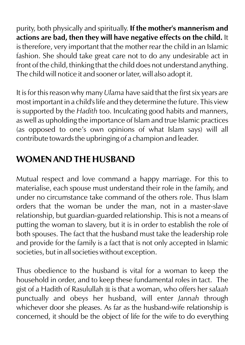purity, both physically and spiritually. **If the mother's mannerism and actions are bad, then they will have negative effects on the child.** It is therefore, very important that the mother rear the child in an Islamic fashion. She should take great care not to do any undesirable act in front of the child, thinking that the child does not understand anything. The child will notice it and sooner or later, will also adopt it.

It is for this reason why many *Ulama* have said that the first six years are most important in a child's life and they determine the future. This view is supported by the *Hadith* too. Inculcating good habits and manners, as well as upholding the importance of Islam and true Islamic practices (as opposed to one's own opinions of what Islam says) will all contribute towards the upbringing of a champion and leader.

### **WOMEN AND THE HUSBAND**

Mutual respect and love command a happy marriage. For this to materialise, each spouse must understand their role in the family, and under no circumstance take command of the others role. Thus Islam orders that the woman be under the man, not in a master-slave relationship, but guardian-guarded relationship. This is not a means of putting the woman to slavery, but it is in order to establish the role of both spouses. The fact that the husband must take the leadership role and provide for the family is a fact that is not only accepted in Islamic societies, but in all societies without exception.

Thus obedience to the husband is vital for a woman to keep the household in order, and to keep these fundamental roles in tact. The gist of a Hadith of Rasulullah  $\frac{1}{26}$  is that a woman, who offers her *salaah* punctually and obeys her husband, will enter *Jannah* through whichever door she pleases. As far as the husband-wife relationship is concerned, it should be the object of life for the wife to do everything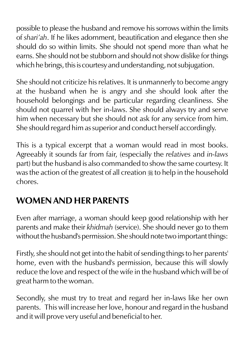possible to please the husband and remove his sorrows within the limits of *shari'ah*. If he likes adornment, beautification and elegance then she should do so within limits. She should not spend more than what he earns. She should not be stubborn and should not show dislike for things which he brings, this is courtesy and understanding, not subjugation.

She should not criticize his relatives. It is unmannerly to become angry at the husband when he is angry and she should look after the household belongings and be particular regarding cleanliness. She should not quarrel with her in-laws. She should always try and serve him when necessary but she should not ask for any service from him. She should regard him as superior and conduct herself accordingly.

This is a typical excerpt that a woman would read in most books. Agreeably it sounds far from fair, (especially the *relatives* and *in-laws* part) but the husband is also commanded to show the same courtesy. It was the action of the greatest of all creation  $\frac{1}{20}$  to help in the household chores.

### **WOMEN AND HER PARENTS**

Even after marriage, a woman should keep good relationship with her parents and make their *khidmah* (service). She should never go to them without the husband's permission. She should note two important things:

Firstly, she should not get into the habit of sending things to her parents' home, even with the husband's permission, because this will slowly reduce the love and respect of the wife in the husband which will be of great harm to the woman.

Secondly, she must try to treat and regard her in-laws like her own parents. This will increase her love, honour and regard in the husband and it will prove very useful and beneficial to her.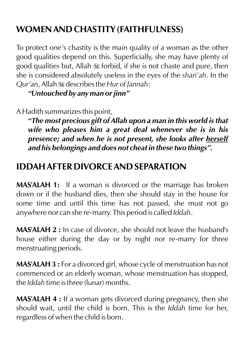# **WOMEN AND CHASTITY (FAITHFULNESS)**

To protect one's chastity is the main quality of a woman as the other good qualities depend on this. Superficially, she may have plenty of good qualities but, Allah  $\frac{1}{200}$  forbid, if she is not chaste and pure, then she is considered absolutely useless in the eyes of the *shari'ah*. In the *Qur'an*, Allah  $\frac{1}{26}$  describes the *Hur* of *Jannah*:

*"Untouched by any man or jinn"*

A Hadith summarizes this point,

*"The most precious gift of Allah upon a man in this world is that wife who pleases him a great deal whenever she is in his presence; and when he is not present, she looks after herself and his belongings and does not cheat in these two things".*

### **IDDAH AFTER DIVORCE AND SEPARATION**

**MAS'ALAH 1:** If a woman is divorced or the marriage has broken down or if the husband dies, then she should stay in the house for some time and until this time has not passed, she must not go anywhere nor can she re-marry. This period is called *Iddah*.

**MAS'ALAH 2 :** In case of divorce, she should not leave the husband's house either during the day or by night nor re-marry for three menstruating periods.

**MAS'ALAH 3 :** For a divorced girl, whose cycle of menstruation has not commenced or an elderly woman, whose menstruation has stopped, the *Iddah* time is three (lunar) months.

**MAS'ALAH 4 :** If a woman gets divorced during pregnancy, then she should wait, until the child is born. This is the *Iddah* time for her, regardless of when the child is born.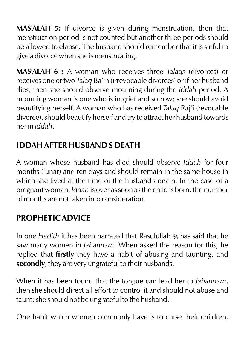**MAS'ALAH 5:** If divorce is given during menstruation, then that menstruation period is not counted but another three periods should be allowed to elapse. The husband should remember that it is sinful to give a divorce when she is menstruating.

**MAS'ALAH 6 :** A woman who receives three *Talaqs* (divorces) or receives one or two *Talaq* Ba'in (irrevocable divorces) or if her husband dies, then she should observe mourning during the *Iddah* period. A mourning woman is one who is in grief and sorrow; she should avoid beautifying herself. A woman who has received *Talaq* Raj'i (revocable divorce), should beautify herself and try to attract her husband towards her in *Iddah*.

### **IDDAH AFTER HUSBAND'S DEATH**

A woman whose husband has died should observe *Iddah* for four months (lunar) and ten days and should remain in the same house in which she lived at the time of the husband's death. In the case of a pregnant woman. *Iddah* is over as soon as the child is born, the number of months are not taken into consideration.

### **PROPHETIC ADVICE**

In one *Hadith* it has been narrated that Rasulullah \* has said that he saw many women in *Jahannam*. When asked the reason for this, he replied that **firstly** they have a habit of abusing and taunting, and **secondly**, they are very ungrateful to their husbands.

When it has been found that the tongue can lead her to *Jahannam*, then she should direct all effort to control it and should not abuse and taunt; she should not be ungrateful to the husband.

One habit which women commonly have is to curse their children,